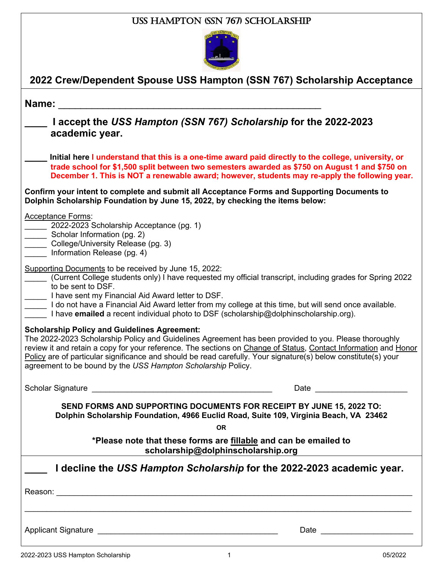| USS HAMPTON (SSN 767) SCHOLARSHIP                                                                                                                                                                                                                                                                                                                                                                                                                                         |  |
|---------------------------------------------------------------------------------------------------------------------------------------------------------------------------------------------------------------------------------------------------------------------------------------------------------------------------------------------------------------------------------------------------------------------------------------------------------------------------|--|
|                                                                                                                                                                                                                                                                                                                                                                                                                                                                           |  |
| 2022 Crew/Dependent Spouse USS Hampton (SSN 767) Scholarship Acceptance                                                                                                                                                                                                                                                                                                                                                                                                   |  |
| Name:                                                                                                                                                                                                                                                                                                                                                                                                                                                                     |  |
| I accept the USS Hampton (SSN 767) Scholarship for the 2022-2023<br>academic year.                                                                                                                                                                                                                                                                                                                                                                                        |  |
| Initial here I understand that this is a one-time award paid directly to the college, university, or<br>trade school for \$1,500 split between two semesters awarded as \$750 on August 1 and \$750 on<br>December 1. This is NOT a renewable award; however, students may re-apply the following year.                                                                                                                                                                   |  |
| Confirm your intent to complete and submit all Acceptance Forms and Supporting Documents to<br>Dolphin Scholarship Foundation by June 15, 2022, by checking the items below:                                                                                                                                                                                                                                                                                              |  |
| <b>Acceptance Forms:</b><br>2022-2023 Scholarship Acceptance (pg. 1)<br>Scholar Information (pg. 2)<br>College/University Release (pg. 3)<br>Information Release (pg. 4)                                                                                                                                                                                                                                                                                                  |  |
| Supporting Documents to be received by June 15, 2022:<br>(Current College students only) I have requested my official transcript, including grades for Spring 2022<br>to be sent to DSF.<br>I have sent my Financial Aid Award letter to DSF.<br>I do not have a Financial Aid Award letter from my college at this time, but will send once available.<br>I have emailed a recent individual photo to DSF (scholarship@dolphinscholarship.org).                          |  |
| <b>Scholarship Policy and Guidelines Agreement:</b><br>The 2022-2023 Scholarship Policy and Guidelines Agreement has been provided to you. Please thoroughly<br>review it and retain a copy for your reference. The sections on Change of Status, Contact Information and Honor<br>Policy are of particular significance and should be read carefully. Your signature(s) below constitute(s) your<br>agreement to be bound by the USS Hampton Scholarship Policy.         |  |
| Scholar Signature <b>Construction</b> Scholar Signature <b>Construction</b> Construction Construction Construction Construction Construction Construction Construction Construction Construction Construction Construction Construction<br>Date and the contract of the contract of the contract of the contract of the contract of the contract of the contract of the contract of the contract of the contract of the contract of the contract of the contract of the c |  |
| SEND FORMS AND SUPPORTING DOCUMENTS FOR RECEIPT BY JUNE 15, 2022 TO:<br>Dolphin Scholarship Foundation, 4966 Euclid Road, Suite 109, Virginia Beach, VA 23462                                                                                                                                                                                                                                                                                                             |  |
| <b>OR</b><br>*Please note that these forms are fillable and can be emailed to<br>scholarship@dolphinscholarship.org                                                                                                                                                                                                                                                                                                                                                       |  |
| I decline the USS Hampton Scholarship for the 2022-2023 academic year.                                                                                                                                                                                                                                                                                                                                                                                                    |  |
|                                                                                                                                                                                                                                                                                                                                                                                                                                                                           |  |
|                                                                                                                                                                                                                                                                                                                                                                                                                                                                           |  |
|                                                                                                                                                                                                                                                                                                                                                                                                                                                                           |  |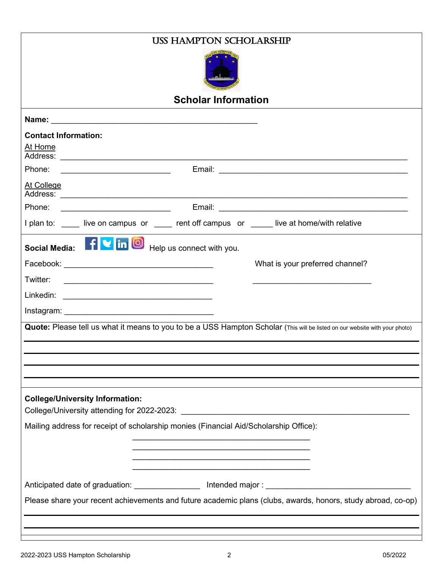| <b>USS HAMPTON SCHOLARSHIP</b>                                                                                              |  |  |  |
|-----------------------------------------------------------------------------------------------------------------------------|--|--|--|
|                                                                                                                             |  |  |  |
| <b>Scholar Information</b>                                                                                                  |  |  |  |
|                                                                                                                             |  |  |  |
| <b>Contact Information:</b>                                                                                                 |  |  |  |
| At Home                                                                                                                     |  |  |  |
|                                                                                                                             |  |  |  |
| At College                                                                                                                  |  |  |  |
| Phone:<br><u> 1990 - Johann Barbara, martin amerikan ba</u>                                                                 |  |  |  |
| I plan to: ____ live on campus or ____ rent off campus or ____ live at home/with relative                                   |  |  |  |
| Social Media: F v in O Help us connect with you.                                                                            |  |  |  |
| What is your preferred channel?                                                                                             |  |  |  |
| Twitter:                                                                                                                    |  |  |  |
|                                                                                                                             |  |  |  |
|                                                                                                                             |  |  |  |
| Quote: Please tell us what it means to you to be a USS Hampton Scholar (This will be listed on our website with your photo) |  |  |  |
|                                                                                                                             |  |  |  |
|                                                                                                                             |  |  |  |
|                                                                                                                             |  |  |  |
| <b>College/University Information:</b>                                                                                      |  |  |  |
| Mailing address for receipt of scholarship monies (Financial Aid/Scholarship Office):                                       |  |  |  |
|                                                                                                                             |  |  |  |
|                                                                                                                             |  |  |  |
| <u> 1990 - Johann John Stone, mars eta industrial eta eta eta erromana eta erromana eta erromana eta erromana eta</u>       |  |  |  |
|                                                                                                                             |  |  |  |
| Please share your recent achievements and future academic plans (clubs, awards, honors, study abroad, co-op)                |  |  |  |
|                                                                                                                             |  |  |  |
|                                                                                                                             |  |  |  |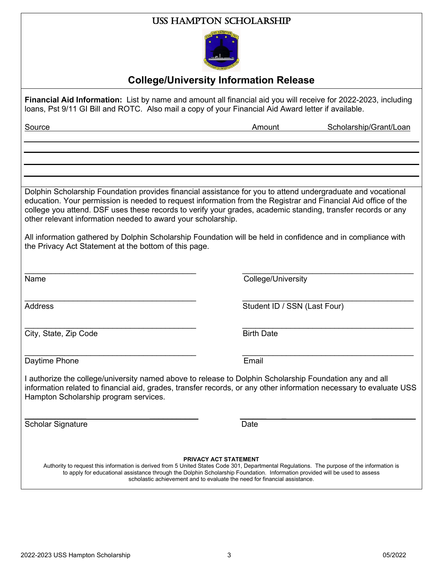#### USS Hampton Scholarship



### **College/University Information Release**

**Financial Aid Information:** List by name and amount all financial aid you will receive for 2022-2023, including loans, Pst 9/11 GI Bill and ROTC. Also mail a copy of your Financial Aid Award letter if available.

| Source                                                       | Scholarship/Grant/Loan<br>Amount                                                                                                                                                                                                                                                                                                              |
|--------------------------------------------------------------|-----------------------------------------------------------------------------------------------------------------------------------------------------------------------------------------------------------------------------------------------------------------------------------------------------------------------------------------------|
|                                                              |                                                                                                                                                                                                                                                                                                                                               |
|                                                              |                                                                                                                                                                                                                                                                                                                                               |
|                                                              |                                                                                                                                                                                                                                                                                                                                               |
| other relevant information needed to award your scholarship. | Dolphin Scholarship Foundation provides financial assistance for you to attend undergraduate and vocational<br>education. Your permission is needed to request information from the Registrar and Financial Aid office of the<br>college you attend. DSF uses these records to verify your grades, academic standing, transfer records or any |
| the Privacy Act Statement at the bottom of this page.        | All information gathered by Dolphin Scholarship Foundation will be held in confidence and in compliance with                                                                                                                                                                                                                                  |
| Name                                                         | College/University                                                                                                                                                                                                                                                                                                                            |
| <b>Address</b>                                               | Student ID / SSN (Last Four)                                                                                                                                                                                                                                                                                                                  |
| City, State, Zip Code                                        | <b>Birth Date</b>                                                                                                                                                                                                                                                                                                                             |
| Daytime Phone                                                | Email                                                                                                                                                                                                                                                                                                                                         |
| Hampton Scholarship program services.                        | I authorize the college/university named above to release to Dolphin Scholarship Foundation any and all<br>information related to financial aid, grades, transfer records, or any other information necessary to evaluate USS                                                                                                                 |
| <b>Scholar Signature</b>                                     | Date                                                                                                                                                                                                                                                                                                                                          |
|                                                              | <b>PRIVACY ACT STATEMENT</b><br>Authority to request this information is derived from 5 United States Code 301, Departmental Regulations. The purpose of the information is                                                                                                                                                                   |

to apply for educational assistance through the Dolphin Scholarship Foundation. Information provided will be used to assess scholastic achievement and to evaluate the need for financial assistance.